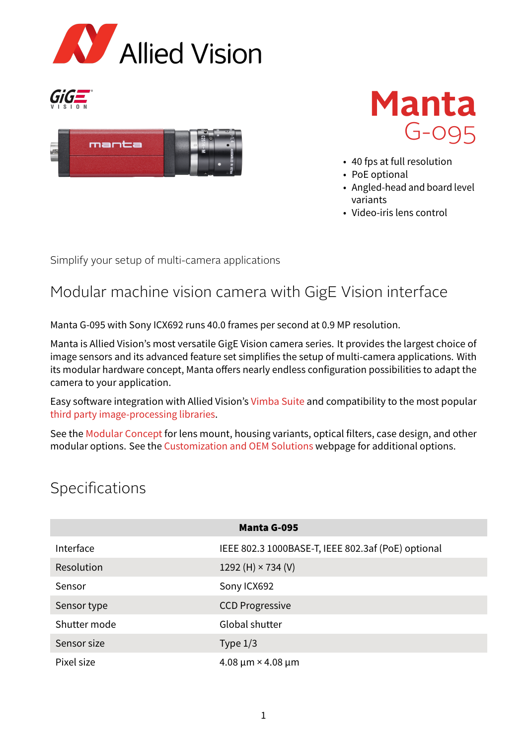







- 40 fps at full resolution
- PoE optional
- Angled-head and board level variants
- Video-iris lens control

Simplify your setup of multi-camera applications

## Modular machine vision camera with GigE Vision interface

Manta G-095 with Sony ICX692 runs 40.0 frames per second at 0.9 MP resolution.

Manta is Allied Vision's most versatile GigE Vision camera series. It provides the largest choice of image sensors and its advanced feature set simplifies the setup of multi-camera applications. With its modular hardware concept, Manta offers nearly endless configuration possibilities to adapt the camera to your application.

Easy software integration with Allied Vision's [Vimba Suite](https://www.alliedvision.com/en/products/vimba-sdk/) and compatibility to the most popular [third party image-processing libraries.](https://www.alliedvision.com/en/products/software/third-party-software-solutions/)

See the [Modular Concept](https://www.alliedvision.com/fileadmin/content/documents/products/cameras/various/modular-concept/ModularConcept_external.pdf) for lens mount, housing variants, optical filters, case design, and other modular options. See the [Customization and OEM Solutions](https://www.alliedvision.com/en/products/customization/) webpage for additional options.

## Specifications

| <b>Manta G-095</b> |                                                    |
|--------------------|----------------------------------------------------|
| Interface          | IEEE 802.3 1000BASE-T, IEEE 802.3af (PoE) optional |
| Resolution         | 1292 (H) $\times$ 734 (V)                          |
| Sensor             | Sony ICX692                                        |
| Sensor type        | <b>CCD Progressive</b>                             |
| Shutter mode       | Global shutter                                     |
| Sensor size        | Type $1/3$                                         |
| Pixel size         | $4.08 \mu m \times 4.08 \mu m$                     |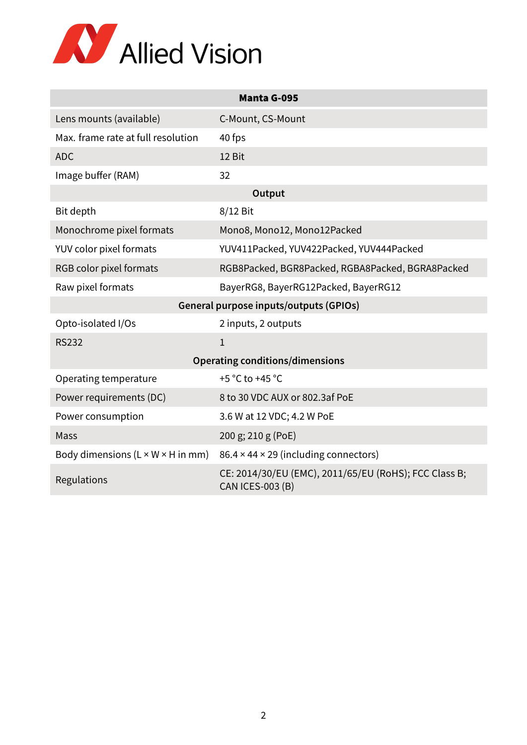

| <b>Manta G-095</b>                            |                                                                                  |  |
|-----------------------------------------------|----------------------------------------------------------------------------------|--|
| Lens mounts (available)                       | C-Mount, CS-Mount                                                                |  |
| Max. frame rate at full resolution            | 40 fps                                                                           |  |
| <b>ADC</b>                                    | 12 Bit                                                                           |  |
| Image buffer (RAM)                            | 32                                                                               |  |
| Output                                        |                                                                                  |  |
| Bit depth                                     | 8/12 Bit                                                                         |  |
| Monochrome pixel formats                      | Mono8, Mono12, Mono12Packed                                                      |  |
| YUV color pixel formats                       | YUV411Packed, YUV422Packed, YUV444Packed                                         |  |
| RGB color pixel formats                       | RGB8Packed, BGR8Packed, RGBA8Packed, BGRA8Packed                                 |  |
| Raw pixel formats                             | BayerRG8, BayerRG12Packed, BayerRG12                                             |  |
| General purpose inputs/outputs (GPIOs)        |                                                                                  |  |
| Opto-isolated I/Os                            | 2 inputs, 2 outputs                                                              |  |
| <b>RS232</b>                                  | $\mathbf{1}$                                                                     |  |
| <b>Operating conditions/dimensions</b>        |                                                                                  |  |
| Operating temperature                         | +5 °C to +45 °C                                                                  |  |
| Power requirements (DC)                       | 8 to 30 VDC AUX or 802.3af PoE                                                   |  |
| Power consumption                             | 3.6 W at 12 VDC; 4.2 W PoE                                                       |  |
| Mass                                          | 200 g; 210 g (PoE)                                                               |  |
| Body dimensions $(L \times W \times H$ in mm) | $86.4 \times 44 \times 29$ (including connectors)                                |  |
| Regulations                                   | CE: 2014/30/EU (EMC), 2011/65/EU (RoHS); FCC Class B;<br><b>CAN ICES-003 (B)</b> |  |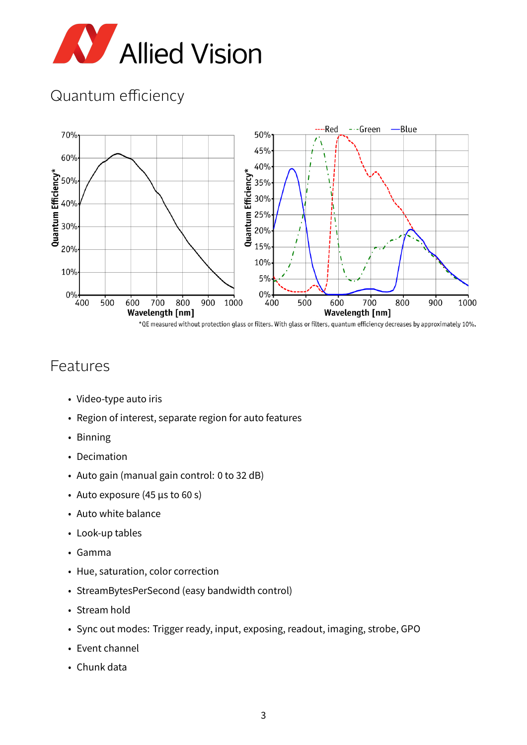

# Quantum efficiency



#### Features

- Video-type auto iris
- Region of interest, separate region for auto features
- Binning
- Decimation
- Auto gain (manual gain control: 0 to 32 dB)
- Auto exposure (45 µs to 60 s)
- Auto white balance
- Look-up tables
- Gamma
- Hue, saturation, color correction
- StreamBytesPerSecond (easy bandwidth control)
- Stream hold
- Sync out modes: Trigger ready, input, exposing, readout, imaging, strobe, GPO
- Event channel
- Chunk data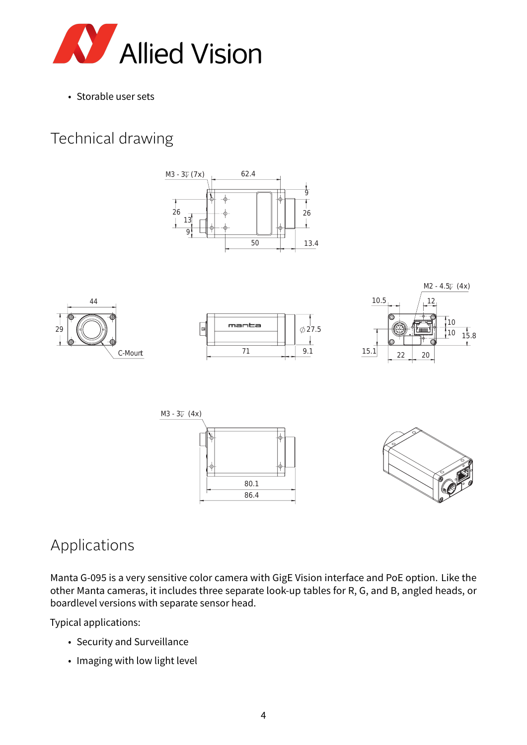

• Storable user sets

# Technical drawing













## Applications

Manta G-095 is a very sensitive color camera with GigE Vision interface and PoE option. Like the other Manta cameras, it includes three separate look-up tables for R, G, and B, angled heads, or boardlevel versions with separate sensor head.

Typical applications:

- Security and Surveillance
- Imaging with low light level